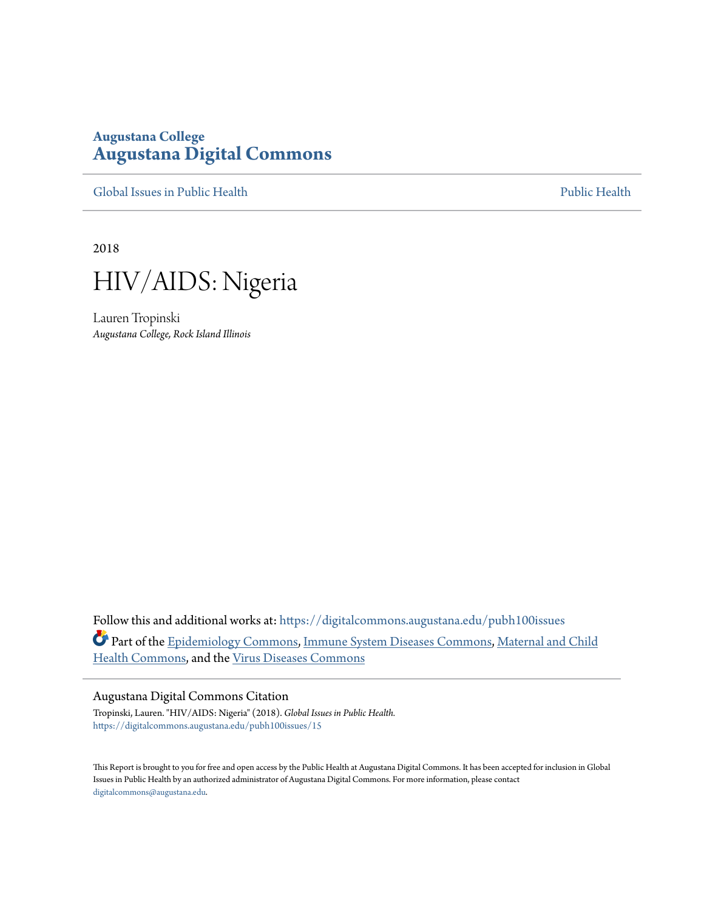## **Augustana College [Augustana Digital Commons](https://digitalcommons.augustana.edu?utm_source=digitalcommons.augustana.edu%2Fpubh100issues%2F15&utm_medium=PDF&utm_campaign=PDFCoverPages)**

[Global Issues in Public Health](https://digitalcommons.augustana.edu/pubh100issues?utm_source=digitalcommons.augustana.edu%2Fpubh100issues%2F15&utm_medium=PDF&utm_campaign=PDFCoverPages) [Public Health](https://digitalcommons.augustana.edu/publichealth?utm_source=digitalcommons.augustana.edu%2Fpubh100issues%2F15&utm_medium=PDF&utm_campaign=PDFCoverPages) Public Health Public Health Public Health

2018



Lauren Tropinski *Augustana College, Rock Island Illinois*

Follow this and additional works at: [https://digitalcommons.augustana.edu/pubh100issues](https://digitalcommons.augustana.edu/pubh100issues?utm_source=digitalcommons.augustana.edu%2Fpubh100issues%2F15&utm_medium=PDF&utm_campaign=PDFCoverPages) Part of the [Epidemiology Commons](http://network.bepress.com/hgg/discipline/740?utm_source=digitalcommons.augustana.edu%2Fpubh100issues%2F15&utm_medium=PDF&utm_campaign=PDFCoverPages), [Immune System Diseases Commons,](http://network.bepress.com/hgg/discipline/933?utm_source=digitalcommons.augustana.edu%2Fpubh100issues%2F15&utm_medium=PDF&utm_campaign=PDFCoverPages) [Maternal and Child](http://network.bepress.com/hgg/discipline/745?utm_source=digitalcommons.augustana.edu%2Fpubh100issues%2F15&utm_medium=PDF&utm_campaign=PDFCoverPages) [Health Commons,](http://network.bepress.com/hgg/discipline/745?utm_source=digitalcommons.augustana.edu%2Fpubh100issues%2F15&utm_medium=PDF&utm_campaign=PDFCoverPages) and the [Virus Diseases Commons](http://network.bepress.com/hgg/discipline/998?utm_source=digitalcommons.augustana.edu%2Fpubh100issues%2F15&utm_medium=PDF&utm_campaign=PDFCoverPages)

#### Augustana Digital Commons Citation

Tropinski, Lauren. "HIV/AIDS: Nigeria" (2018). *Global Issues in Public Health.* [https://digitalcommons.augustana.edu/pubh100issues/15](https://digitalcommons.augustana.edu/pubh100issues/15?utm_source=digitalcommons.augustana.edu%2Fpubh100issues%2F15&utm_medium=PDF&utm_campaign=PDFCoverPages)

This Report is brought to you for free and open access by the Public Health at Augustana Digital Commons. It has been accepted for inclusion in Global Issues in Public Health by an authorized administrator of Augustana Digital Commons. For more information, please contact [digitalcommons@augustana.edu.](mailto:digitalcommons@augustana.edu)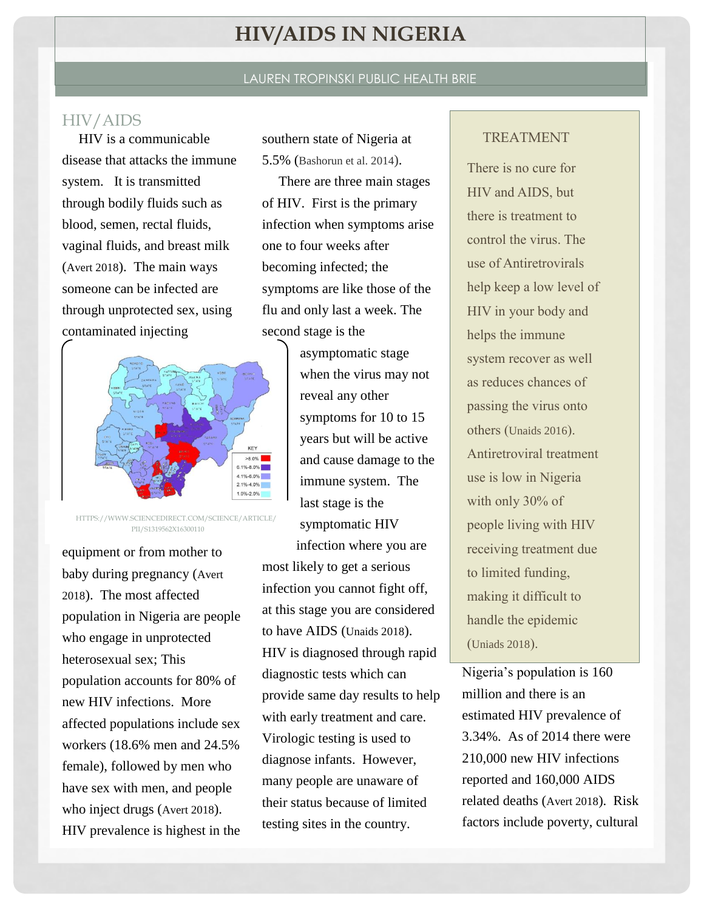# **HIV/AIDS IN NIGERIA**

#### LAUREN TROPINSKI PUBLIC HEALTH BRIE

### HIV/AIDS

HIV is a communicable disease that attacks the immune system. It is transmitted through bodily fluids such as blood, semen, rectal fluids, vaginal fluids, and breast milk (Avert 2018). The main ways someone can be infected are through unprotected sex, using contaminated injecting



HTTPS://WWW.SCIENCEDIRECT.COM/SCIENCE/ARTICLE/ PII/S1319562X16300110

equipment or from mother to baby during pregnancy (Avert 2018). The most affected population in Nigeria are people who engage in unprotected heterosexual sex; This population accounts for 80% of new HIV infections. More affected populations include sex workers (18.6% men and 24.5% female), followed by men who have sex with men, and people who inject drugs (Avert 2018). HIV prevalence is highest in the southern state of Nigeria at 5.5% (Bashorun et al. 2014).

There are three main stages of HIV. First is the primary infection when symptoms arise one to four weeks after becoming infected; the symptoms are like those of the flu and only last a week. The second stage is the

> asymptomatic stage when the virus may not reveal any other symptoms for 10 to 15 years but will be active and cause damage to the immune system. The last stage is the symptomatic HIV infection where you are

most likely to get a serious infection you cannot fight off, at this stage you are considered to have AIDS (Unaids 2018). HIV is diagnosed through rapid diagnostic tests which can provide same day results to help with early treatment and care. Virologic testing is used to diagnose infants. However, many people are unaware of their status because of limited testing sites in the country.

#### TREATMENT

There is no cure for HIV and AIDS, but there is treatment to control the virus. The use of Antiretrovirals help keep a low level of HIV in your body and helps the immune system recover as well as reduces chances of passing the virus onto others (Unaids 2016). Antiretroviral treatment use is low in Nigeria with only 30% of people living with HIV receiving treatment due to limited funding, making it difficult to handle the epidemic (Uniads 2018).

Nigeria's population is 160 million and there is an estimated HIV prevalence of 3.34%. As of 2014 there were 210,000 new HIV infections reported and 160,000 AIDS related deaths (Avert 2018). Risk factors include poverty, cultural